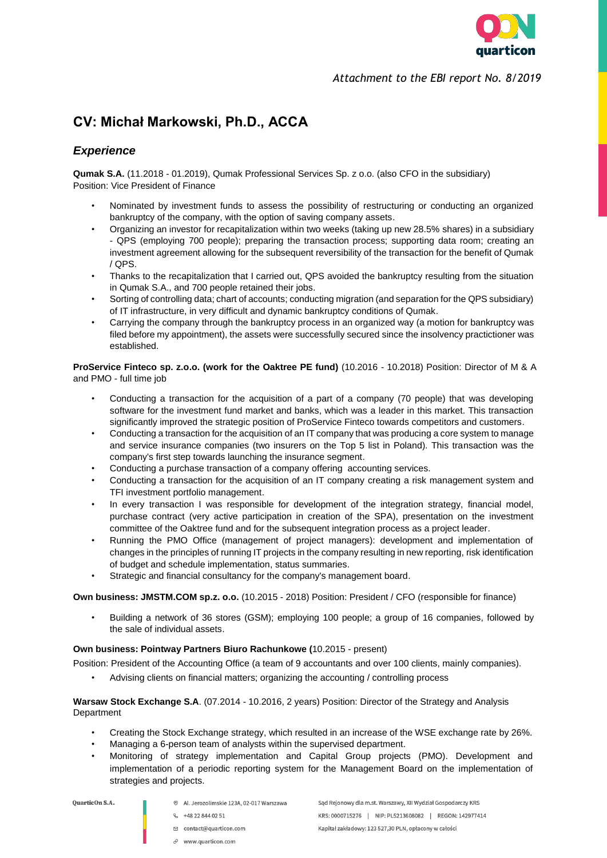

*Attachment to the EBI report No. 8/2019*

# **CV: Michał Markowski, Ph.D., ACCA**

## *Experience*

**Qumak S.A.** (11.2018 - 01.2019), Qumak Professional Services Sp. z o.o. (also CFO in the subsidiary) Position: Vice President of Finance

- Nominated by investment funds to assess the possibility of restructuring or conducting an organized bankruptcy of the company, with the option of saving company assets.
- Organizing an investor for recapitalization within two weeks (taking up new 28.5% shares) in a subsidiary - QPS (employing 700 people); preparing the transaction process; supporting data room; creating an investment agreement allowing for the subsequent reversibility of the transaction for the benefit of Qumak / QPS.
- Thanks to the recapitalization that I carried out, QPS avoided the bankruptcy resulting from the situation in Qumak S.A., and 700 people retained their jobs.
- Sorting of controlling data; chart of accounts; conducting migration (and separation for the QPS subsidiary) of IT infrastructure, in very difficult and dynamic bankruptcy conditions of Qumak.
- Carrying the company through the bankruptcy process in an organized way (a motion for bankruptcy was filed before my appointment), the assets were successfully secured since the insolvency practictioner was established.

**ProService Finteco sp. z.o.o. (work for the Oaktree PE fund)** (10.2016 - 10.2018) Position: Director of M & A and PMO - full time job

- Conducting a transaction for the acquisition of a part of a company (70 people) that was developing software for the investment fund market and banks, which was a leader in this market. This transaction significantly improved the strategic position of ProService Finteco towards competitors and customers.
- Conducting a transaction for the acquisition of an IT company that was producing a core system to manage and service insurance companies (two insurers on the Top 5 list in Poland). This transaction was the company's first step towards launching the insurance segment.
- Conducting a purchase transaction of a company offering accounting services.
- Conducting a transaction for the acquisition of an IT company creating a risk management system and TFI investment portfolio management.
- In every transaction I was responsible for development of the integration strategy, financial model, purchase contract (very active participation in creation of the SPA), presentation on the investment committee of the Oaktree fund and for the subsequent integration process as a project leader.
- Running the PMO Office (management of project managers): development and implementation of changes in the principles of running IT projects in the company resulting in new reporting, risk identification of budget and schedule implementation, status summaries.
- Strategic and financial consultancy for the company's management board.

**Own business: JMSTM.COM sp.z. o.o.** (10.2015 - 2018) Position: President / CFO (responsible for finance)

• Building a network of 36 stores (GSM); employing 100 people; a group of 16 companies, followed by the sale of individual assets.

#### **Own business: Pointway Partners Biuro Rachunkowe (**10.2015 - present)

Position: President of the Accounting Office (a team of 9 accountants and over 100 clients, mainly companies).

• Advising clients on financial matters; organizing the accounting / controlling process

**Warsaw Stock Exchange S.A**. (07.2014 - 10.2016, 2 years) Position: Director of the Strategy and Analysis **Department** 

- Creating the Stock Exchange strategy, which resulted in an increase of the WSE exchange rate by 26%.
- Managing a 6-person team of analysts within the supervised department.
- Monitoring of strategy implementation and Capital Group projects (PMO). Development and implementation of a periodic reporting system for the Management Board on the implementation of strategies and projects.

- <sup>⊙</sup> Al. Jerozolimskie 123A, 02-017 Warszawa
	- € +48 22 844 02 51
	- ⊠ contact@quarticon.com
	- $\mathcal{O}$  www.quarticon.com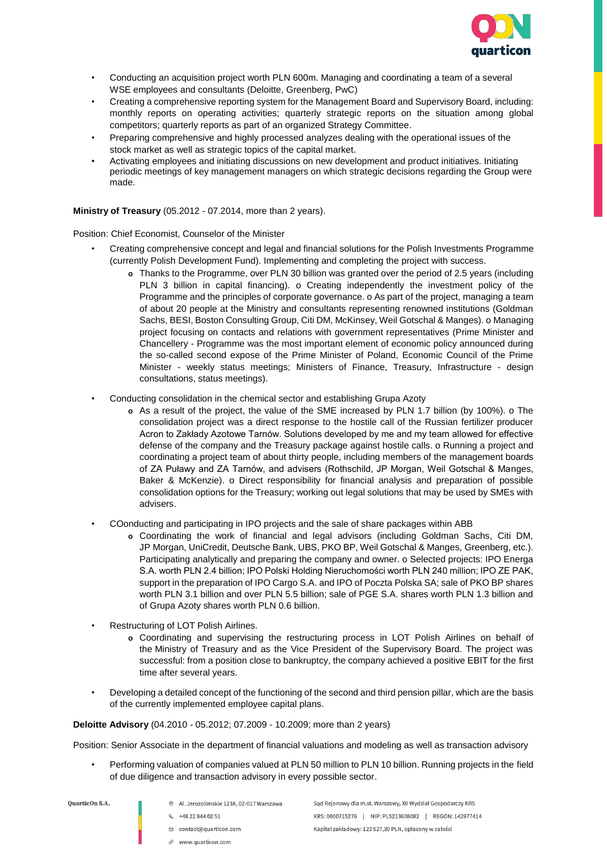

- Conducting an acquisition project worth PLN 600m. Managing and coordinating a team of a several WSE employees and consultants (Deloitte, Greenberg, PwC)
- Creating a comprehensive reporting system for the Management Board and Supervisory Board, including: monthly reports on operating activities; quarterly strategic reports on the situation among global competitors; quarterly reports as part of an organized Strategy Committee.
- Preparing comprehensive and highly processed analyzes dealing with the operational issues of the stock market as well as strategic topics of the capital market.
- Activating employees and initiating discussions on new development and product initiatives. Initiating periodic meetings of key management managers on which strategic decisions regarding the Group were made.

**Ministry of Treasury** (05.2012 - 07.2014, more than 2 years).

Position: Chief Economist, Counselor of the Minister

- Creating comprehensive concept and legal and financial solutions for the Polish Investments Programme (currently Polish Development Fund). Implementing and completing the project with success.
	- **o** Thanks to the Programme, over PLN 30 billion was granted over the period of 2.5 years (including PLN 3 billion in capital financing). o Creating independently the investment policy of the Programme and the principles of corporate governance. o As part of the project, managing a team of about 20 people at the Ministry and consultants representing renowned institutions (Goldman Sachs, BESI, Boston Consulting Group, Citi DM, McKinsey, Weil Gotschal & Manges). o Managing project focusing on contacts and relations with government representatives (Prime Minister and Chancellery - Programme was the most important element of economic policy announced during the so-called second expose of the Prime Minister of Poland, Economic Council of the Prime Minister - weekly status meetings; Ministers of Finance, Treasury, Infrastructure - design consultations, status meetings).
- Conducting consolidation in the chemical sector and establishing Grupa Azoty
	- **o** As a result of the project, the value of the SME increased by PLN 1.7 billion (by 100%). o The consolidation project was a direct response to the hostile call of the Russian fertilizer producer Acron to Zakłady Azotowe Tarnów. Solutions developed by me and my team allowed for effective defense of the company and the Treasury package against hostile calls. o Running a project and coordinating a project team of about thirty people, including members of the management boards of ZA Puławy and ZA Tarnów, and advisers (Rothschild, JP Morgan, Weil Gotschal & Manges, Baker & McKenzie). o Direct responsibility for financial analysis and preparation of possible consolidation options for the Treasury; working out legal solutions that may be used by SMEs with advisers.
- COonducting and participating in IPO projects and the sale of share packages within ABB
	- **o** Coordinating the work of financial and legal advisors (including Goldman Sachs, Citi DM, JP Morgan, UniCredit, Deutsche Bank, UBS, PKO BP, Weil Gotschal & Manges, Greenberg, etc.). Participating analytically and preparing the company and owner. o Selected projects: IPO Energa S.A. worth PLN 2.4 billion; IPO Polski Holding Nieruchomości worth PLN 240 million; IPO ZE PAK, support in the preparation of IPO Cargo S.A. and IPO of Poczta Polska SA; sale of PKO BP shares worth PLN 3.1 billion and over PLN 5.5 billion; sale of PGE S.A. shares worth PLN 1.3 billion and of Grupa Azoty shares worth PLN 0.6 billion.
- Restructuring of LOT Polish Airlines.
	- **o** Coordinating and supervising the restructuring process in LOT Polish Airlines on behalf of the Ministry of Treasury and as the Vice President of the Supervisory Board. The project was successful: from a position close to bankruptcy, the company achieved a positive EBIT for the first time after several years.
- Developing a detailed concept of the functioning of the second and third pension pillar, which are the basis of the currently implemented employee capital plans.

**Deloitte Advisory** (04.2010 - 05.2012; 07.2009 - 10.2009; more than 2 years)

Position: Senior Associate in the department of financial valuations and modeling as well as transaction advisory

• Performing valuation of companies valued at PLN 50 million to PLN 10 billion. Running projects in the field of due diligence and transaction advisory in every possible sector.

**QuarticOn S.A.** 

- ⊙ Al. Jerozolimskie 123A, 02-017 Warszawa
- & +48 22 844 02 51
	-
- □ contact@quarticon.com
- $\mathcal{O}$  www.quarticon.com